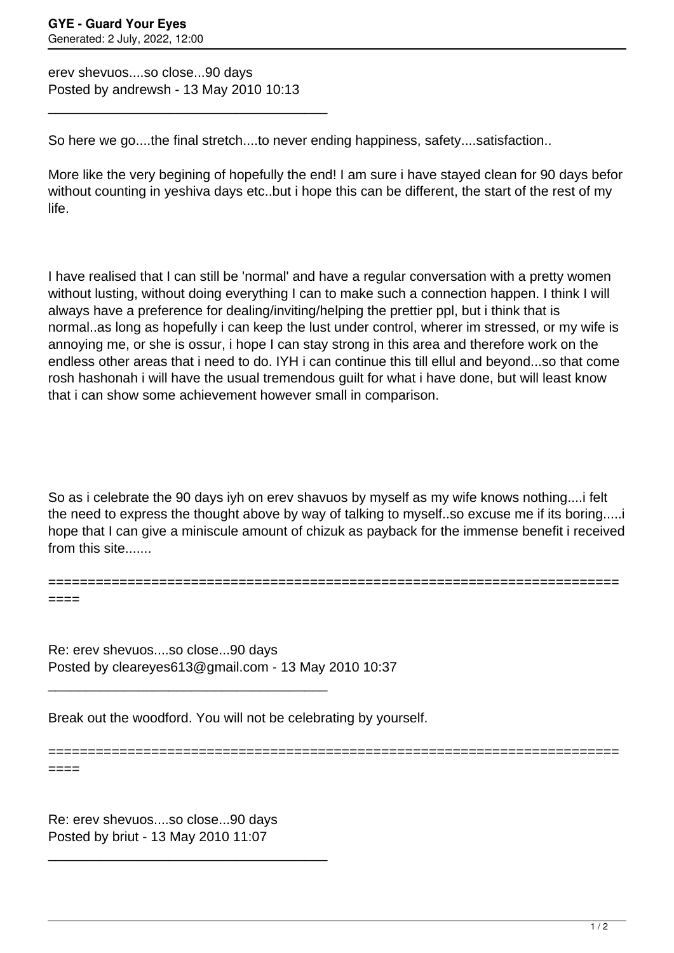erev shevuos....so close...90 days Posted by andrewsh - 13 May 2010 10:13

\_\_\_\_\_\_\_\_\_\_\_\_\_\_\_\_\_\_\_\_\_\_\_\_\_\_\_\_\_\_\_\_\_\_\_\_\_

So here we go....the final stretch....to never ending happiness, safety....satisfaction..

More like the very begining of hopefully the end! I am sure i have stayed clean for 90 days befor without counting in yeshiva days etc..but i hope this can be different, the start of the rest of my life.

I have realised that I can still be 'normal' and have a regular conversation with a pretty women without lusting, without doing everything I can to make such a connection happen. I think I will always have a preference for dealing/inviting/helping the prettier ppl, but i think that is normal..as long as hopefully i can keep the lust under control, wherer im stressed, or my wife is annoying me, or she is ossur, i hope I can stay strong in this area and therefore work on the endless other areas that i need to do. IYH i can continue this till ellul and beyond...so that come rosh hashonah i will have the usual tremendous guilt for what i have done, but will least know that i can show some achievement however small in comparison.

So as i celebrate the 90 days iyh on erev shavuos by myself as my wife knows nothing....i felt the need to express the thought above by way of talking to myself..so excuse me if its boring.....i hope that I can give a miniscule amount of chizuk as payback for the immense benefit i received from this site.......

========================================================================

======================================================================== ====

Re: erev shevuos....so close...90 days Posted by cleareyes613@gmail.com - 13 May 2010 10:37 \_\_\_\_\_\_\_\_\_\_\_\_\_\_\_\_\_\_\_\_\_\_\_\_\_\_\_\_\_\_\_\_\_\_\_\_\_

Break out the woodford. You will not be celebrating by yourself.

====

Re: erev shevuos....so close...90 days Posted by briut - 13 May 2010 11:07

\_\_\_\_\_\_\_\_\_\_\_\_\_\_\_\_\_\_\_\_\_\_\_\_\_\_\_\_\_\_\_\_\_\_\_\_\_